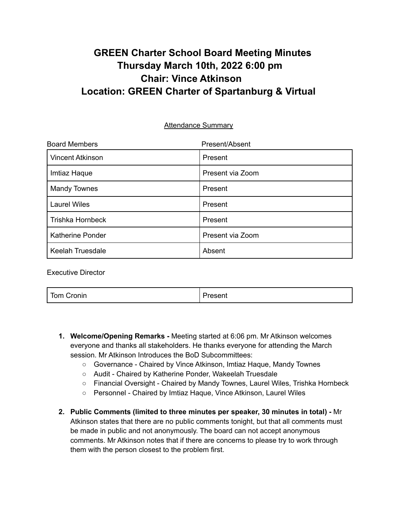# **GREEN Charter School Board Meeting Minutes Thursday March 10th, 2022 6:00 pm Chair: Vince Atkinson Location: GREEN Charter of Spartanburg & Virtual**

Attendance Summary

| <b>Board Members</b>    | Present/Absent   |
|-------------------------|------------------|
| <b>Vincent Atkinson</b> | Present          |
| Imtiaz Haque            | Present via Zoom |
| <b>Mandy Townes</b>     | Present          |
| <b>Laurel Wiles</b>     | Present          |
| <b>Trishka Hornbeck</b> | Present          |
| Katherine Ponder        | Present via Zoom |
| <b>Keelah Truesdale</b> | Absent           |

Executive Director

Tom Cronin **Present Present** 

- **1. Welcome/Opening Remarks -** Meeting started at 6:06 pm. Mr Atkinson welcomes everyone and thanks all stakeholders. He thanks everyone for attending the March session. Mr Atkinson Introduces the BoD Subcommittees:
	- Governance Chaired by Vince Atkinson, Imtiaz Haque, Mandy Townes
	- Audit Chaired by Katherine Ponder, Wakeelah Truesdale
	- Financial Oversight Chaired by Mandy Townes, Laurel Wiles, Trishka Hornbeck
	- Personnel Chaired by Imtiaz Haque, Vince Atkinson, Laurel Wiles
- **2. Public Comments (limited to three minutes per speaker, 30 minutes in total) -** Mr Atkinson states that there are no public comments tonight, but that all comments must be made in public and not anonymously. The board can not accept anonymous comments. Mr Atkinson notes that if there are concerns to please try to work through them with the person closest to the problem first.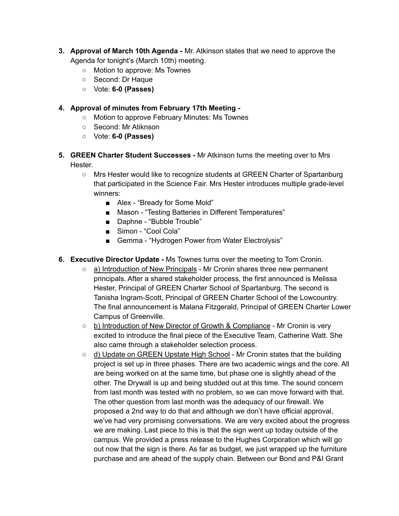- **3. Approval of March 10th Agenda -** Mr. Atkinson states that we need to approve the Agenda for tonight's (March 10th) meeting.
	- Motion to approve: Ms Townes
	- Second: Dr Haque
	- Vote: **6-0 (Passes)**

#### **4. Approval of minutes from February 17th Meeting -**

- Motion to approve February Minutes: Ms Townes
- Second: Mr Atiknson
- Vote: **6-0 (Passes)**
- **5. GREEN Charter Student Successes -** Mr Atkinson turns the meeting over to Mrs Hester.
	- Mrs Hester would like to recognize students at GREEN Charter of Spartanburg that participated in the Science Fair. Mrs Hester introduces multiple grade-level winners:
		- Alex "Bready for Some Mold"
		- Mason "Testing Batteries in Different Temperatures"
		- Daphne "Bubble Trouble"
		- Simon "Cool Cola"
		- Gemma "Hydrogen Power from Water Electrolysis"
- **6. Executive Director Update -** Ms Townes turns over the meeting to Tom Cronin.
	- $\circ$  a) Introduction of New Principals Mr Cronin shares three new permanent principals. After a shared stakeholder process, the first announced is Melissa Hester, Principal of GREEN Charter School of Spartanburg. The second is Tanisha Ingram-Scott, Principal of GREEN Charter School of the Lowcountry. The final announcement is Malana Fitzgerald, Principal of GREEN Charter Lower Campus of Greenville.
	- b) Introduction of New Director of Growth & Compliance Mr Cronin is very excited to introduce the final piece of the Executive Team, Catherine Watt. She also came through a stakeholder selection process.
	- d) Update on GREEN Upstate High School Mr Cronin states that the building project is set up in three phases. There are two academic wings and the core. All are being worked on at the same time, but phase one is slightly ahead of the other. The Drywall is up and being studded out at this time. The sound concern from last month was tested with no problem, so we can move forward with that. The other question from last month was the adequacy of our firewall. We proposed a 2nd way to do that and although we don't have official approval, we've had very promising conversations. We are very excited about the progress we are making. Last piece to this is that the sign went up today outside of the campus. We provided a press release to the Hughes Corporation which will go out now that the sign is there. As far as budget, we just wrapped up the furniture purchase and are ahead of the supply chain. Between our Bond and P&I Grant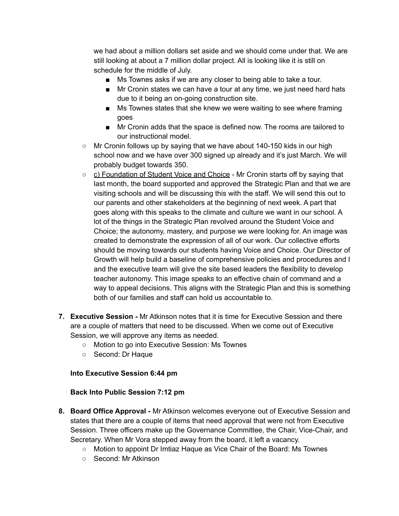we had about a million dollars set aside and we should come under that. We are still looking at about a 7 million dollar project. All is looking like it is still on schedule for the middle of July.

- Ms Townes asks if we are any closer to being able to take a tour.
- Mr Cronin states we can have a tour at any time, we just need hard hats due to it being an on-going construction site.
- Ms Townes states that she knew we were waiting to see where framing goes
- Mr Cronin adds that the space is defined now. The rooms are tailored to our instructional model.
- $\circ$  Mr Cronin follows up by saying that we have about 140-150 kids in our high school now and we have over 300 signed up already and it's just March. We will probably budget towards 350.
- c) Foundation of Student Voice and Choice Mr Cronin starts off by saying that last month, the board supported and approved the Strategic Plan and that we are visiting schools and will be discussing this with the staff. We will send this out to our parents and other stakeholders at the beginning of next week. A part that goes along with this speaks to the climate and culture we want in our school. A lot of the things in the Strategic Plan revolved around the Student Voice and Choice; the autonomy, mastery, and purpose we were looking for. An image was created to demonstrate the expression of all of our work. Our collective efforts should be moving towards our students having Voice and Choice. Our Director of Growth will help build a baseline of comprehensive policies and procedures and I and the executive team will give the site based leaders the flexibility to develop teacher autonomy. This image speaks to an effective chain of command and a way to appeal decisions. This aligns with the Strategic Plan and this is something both of our families and staff can hold us accountable to.
- **7. Executive Session -** Mr Atkinson notes that it is time for Executive Session and there are a couple of matters that need to be discussed. When we come out of Executive Session, we will approve any items as needed.
	- Motion to go into Executive Session: Ms Townes
	- Second: Dr Haque

## **Into Executive Session 6:44 pm**

## **Back Into Public Session 7:12 pm**

- **8. Board Office Approval -** Mr Atkinson welcomes everyone out of Executive Session and states that there are a couple of items that need approval that were not from Executive Session. Three officers make up the Governance Committee, the Chair, Vice-Chair, and Secretary. When Mr Vora stepped away from the board, it left a vacancy.
	- Motion to appoint Dr Imtiaz Haque as Vice Chair of the Board: Ms Townes
	- Second: Mr Atkinson